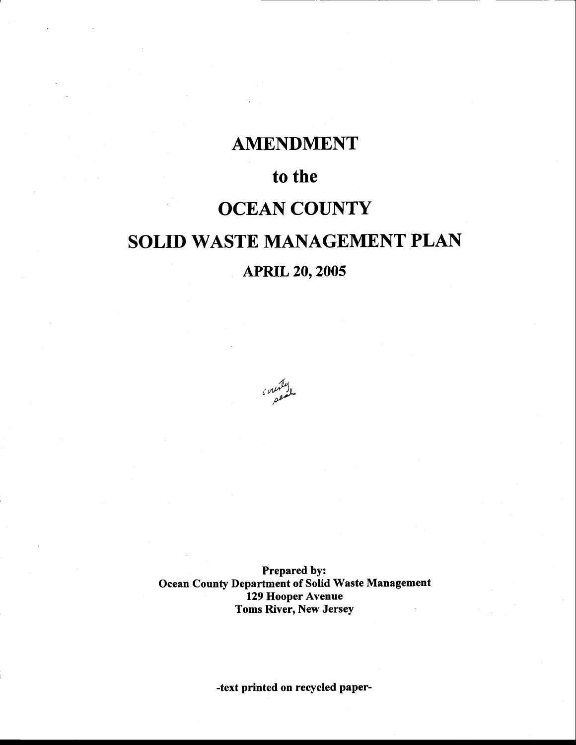## AMENDMENT

## to the

## **OCEAN COUNTY**

# SOLID WASTE MANAGEMENT PLAN

## APRIL 2O,2OO5

ول<sup>علي</sup>مي*س ،*<br>مسمع

Prepared by: Ocean County Department of Solid Waste Management 129 Hooper Avenue Toms River, New Jersey

-text printed on recycled paper-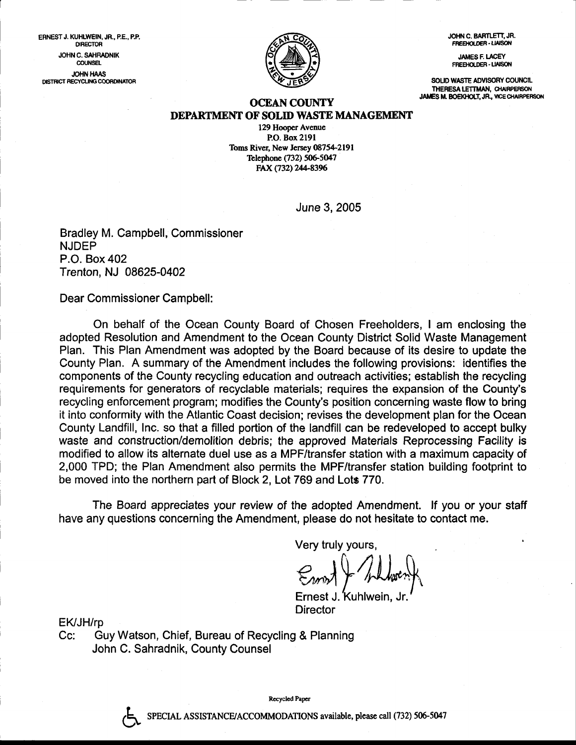JOHN C. BARTLETT, JR. FREEHOLDER - LIAISON

JAMES F. LACEY FREEHOLDER - LIAISON

SOLID WASTE ADVISORY COUNCIL THERESA LETTMAN, CHAIRPERSON JAMES M. BOEKHOLT, JR., VICE CHAIRPERSON.



#### **OCEAN COUNTY** DEPARTMENT OF SOLID WASTE MANAGEMENT

129 Hooper Avenue P.O. Box 2l9l Toms River, New Jersey 08754-2191 Telephone (732) 506-5047 FAX (732) 244-8396

June 3, 2005

Bradley M. Campbell, Commissioner NJDEP P.O. Box 402 Trenton, NJ 08625-0402

Dear Commissioner Campbell:

ERNEST J. KUHLWEIN, JR., P.E., P.P. **DIRECTOR** JOHN C. SAHRADNIK **COUNSEL** JOTN HAAS DISTRICT RECYCLING COORDINATOR

> On behalf of the Ocean County Board of Chosen Freeholders, I am enclosing the adopted Resolution and Amendment to the Ocean County District Solid Waste Management Plan. This Plan Amendment was adopted by the Board because of its desire to update the County Plan. A summary of the Amendment includes the following provisions: identifies the components of the County recycling education and outreach activities; establish the recycling requirements for generators of recyclable materials; requires the expansion of the County's recycling enforcement program; modifies the County's position concerning waste flow to bring it into conformity with the Atlantic Coast decision; revises the development plan for the Ocean County Landfill, Inc. so that a filled portion of the landfill can be redeveloped to accept bulky waste and construction/demolition debris; the approved Materials Reprocessing Facility is modified to allow its alternate duel use as a MPF/transfer station with a maximum capacity of 2,000 TPD; the Plan Amendment also permits the MPF/transfer station building footprint to be moved into the northern part of Block 2, Lot 769 and Lots 770.

> The Board appreciates your review of the adopted Amendment. lf you or your staff have any questions concerning the Amendment, please do not hesitate to contact me.

> > Very truly yours,

 $\epsilon$  and  $\epsilon$  the hours

Ernest J. Kuhlwein, Director

?

EK/JH/rp<br>Cc: Guy Watson, Chief, Bureau of Recycling & Planning John C. Sahradnik, County Counsel

Recycled Paper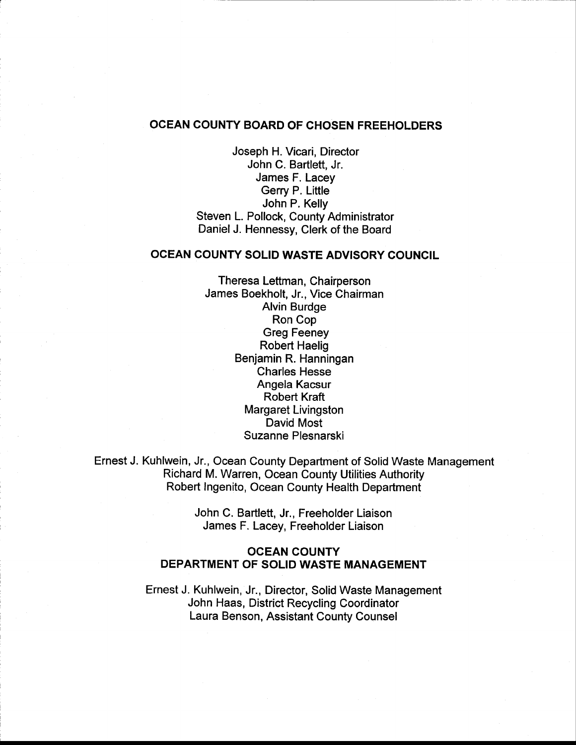#### OCEAN COUNTY BOARD OF CHOSEN FREEHOLDERS

Joseph H. Vicari, Director John C. Bartlett, Jr. James F. Lacey Gerry P. Little John P. Kelly Steven L. Pollock, County Administrator Daniel J. Hennessy, Clerk of the Board

#### OCEAN COUNTY SOLID WASTE ADVISORY COUNCIL

Theresa Lettman, Chairperson James Boekholt, Jr., Vice Chairman Alvin Burdge Ron Cop Greg Feeney Robert Haelig Benjamin R. Hanningan Charles Hesse Angela Kacsur Robert Kraft Margaret Livingston David Most Suzanne Plesnarski

Ernest J. Kuhlwein, Jr., Ocean County Department of Solid Waste Management Richard M. Warren, Ocean County Utilities Authority Robert lngenito, Ocean County Health Department

> John C. Bartlett, Jr., Freeholder Liaison James F. Lacey, Freeholder Liaison

#### OCEAN COUNTY DEPARTMENT OF SOLID WASTE MANAGEMENT

Ernest J. Kuhlwein, Jr., Director, Solid Waste Management John Haas, District Recycling Coordinator Laura Benson, Assistant County Counsel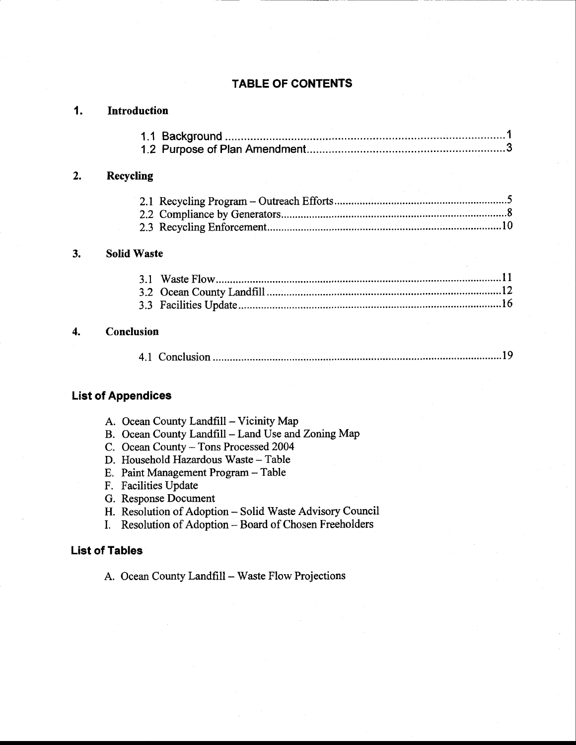## TABLE OF CONTENTS

| 1. | <b>Introduction</b>                                                              |  |  |  |
|----|----------------------------------------------------------------------------------|--|--|--|
|    |                                                                                  |  |  |  |
|    |                                                                                  |  |  |  |
| 2. | <b>Recycling</b>                                                                 |  |  |  |
|    |                                                                                  |  |  |  |
|    |                                                                                  |  |  |  |
|    |                                                                                  |  |  |  |
| 3. | <b>Solid Waste</b>                                                               |  |  |  |
|    |                                                                                  |  |  |  |
|    |                                                                                  |  |  |  |
|    |                                                                                  |  |  |  |
| 4. | Conclusion                                                                       |  |  |  |
|    |                                                                                  |  |  |  |
|    | <b>List of Appendices</b>                                                        |  |  |  |
|    | A. Ocean County Landfill - Vicinity Map                                          |  |  |  |
|    | B. Ocean County Landfill - Land Use and Zoning Map                               |  |  |  |
|    | C. Ocean County - Tons Processed 2004                                            |  |  |  |
|    | D. Household Hazardous Waste - Table                                             |  |  |  |
|    | E. Paint Management Program - Table                                              |  |  |  |
|    | F. Facilities Update                                                             |  |  |  |
|    | G. Response Document<br>H. Resolution of Adoption - Solid Waste Advisory Council |  |  |  |
|    | Resolution of Adoption - Board of Chosen Freeholders                             |  |  |  |
|    | <b>List of Tables</b>                                                            |  |  |  |
|    | A. Ocean County Landfill – Waste Flow Projections                                |  |  |  |
|    |                                                                                  |  |  |  |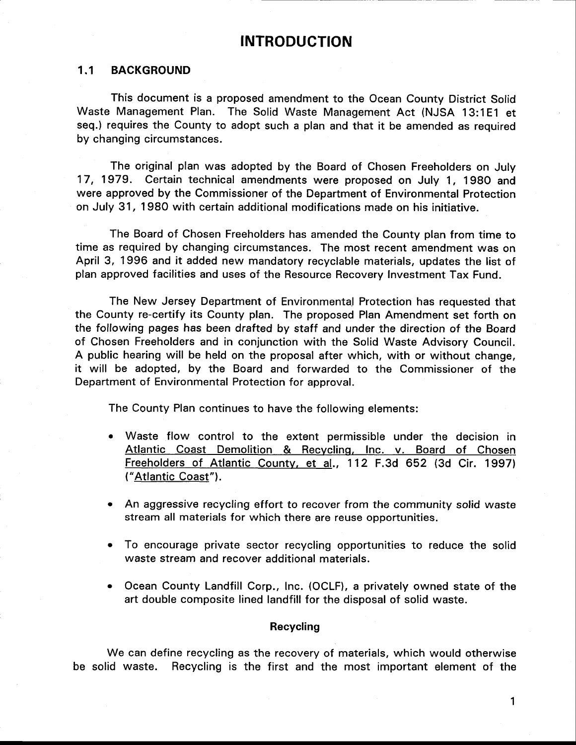### INTRODUCTION

### 1.1 BACKGROUND

This document is a proposed amendment to the Ocean County District Solid Waste Management Plan. The Solid Waste Management Act (NJSA 13:1E1 et seq.) requires the County to adopt such a plan and that it be amended as required by changing circumstances.

The original plan was adopted by the Board of Chosen Freeholders on July 17, 1979. Certain technical amendments were proposed on July 1, 198O and were approved by the Commissioner of the Department of Environmental Protection on July 31, 198O with certain additional modifications made on his initiative.

The Board of Chosen Freeholders has amended the County plan from time to time as required by changing circumstances. The most recent amendment was on April 3, 1996 and it added new mandatory recyclable materials, updates the list of plan approved facilities and uses of the Resource Recovery Investment Tax Fund.

The New Jersey Department of Environmental Protection has requested that the County re-certify its County plan. The proposed Plan Amendment set forth on the following pages has been drafted by staff and under the direction of the Board of Chosen Freeholders and in conjunction with the Solid Waste Advisory Council. A public hearing will be held on the proposal after which, with or without change, it will be adopted, by the Board and forwarded to the Commissioner of the Department of Environmental Protection for approval.

The County Plan continues to have the following elements:

- o Waste flow control to the extent permissible under the decision in Atlantic Coast Demolition & Recycling, Inc. v. Board of Chosen Freeholders of Atlantic countv, et al., 112 F.3d 652 (3d Cir. 1997) {"Atlantic Coast").
- An aggressive recycling effort to recover from the community solid waste stream all materials for which there are reuse opportunities.
- To encourage private sector recycling opportunities to reduce the solid waste stream and recover additional materials.
- Ocean County Landfill Corp., Inc. (OCLF), a privately owned state of the art double composite lined landfill for the disposal of solid waste.

#### Recycling

We can define recycling as the recovery of materials, which would otherwise be solid waste. Recycling is the first and the most important element of the

1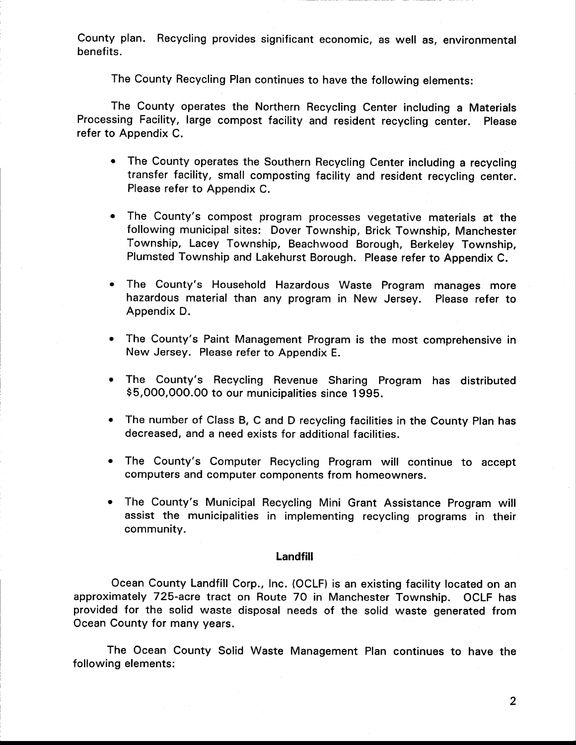County plan. Recycling provides significant economic, as well as, environmental benefits.

The County Recycling Plan continues to have the following elements:

The County operates the Northern Recycling Center including a Materials Processing Facility, large compost facility and resident recycling center. Please refer to Appendix C.

- The County operates the Southern Recycling Center including a recycling transfer facility, small composting facility and resident recycling center. Please refer to Appendix C.
- $\bullet$ The County's compost program processes vegetative materials at the following municipal sites: Dover Township, Brick Township, Manchester Township, Lacey Township, Beachwood Borough, Berkeley Township, Plumsted Township and Lakehurst Borough. Please refer to Appendix C.
- The County's Household Hazardous Waste Program manages more hazardous material than any program in New Jersey. Please refer to Appendix D.
- The County's Paint Management Program is the most comprehensive in New Jersey. Please refer to Appendix E.
- The County's Recycling Revenue Sharing Program has distributed \$5,000,000.00 to our municipalities since 1995.
- The number of Class B, C and D recycling facilities in the County Plan has decreased, and a need exists for additional facilities.
- The County's Computer Recycling Program will continue to accept computers and computer components from homeowners.
- The County's Municipal Recycling Mini Grant Assistance Program will assist the municipalities in implementing recycling programs in their community.

#### Landfill

Ocean County Landfill Corp., Inc. (OCLF) is an existing facility located on an approximately 725-acre tract on Route 70 in Manchester Township. OCLF has provided for the solid waste disposal needs of the solid waste generated from Ocean County for many years.

The Ocean County Solid Waste Management Plan continues to have the following elements: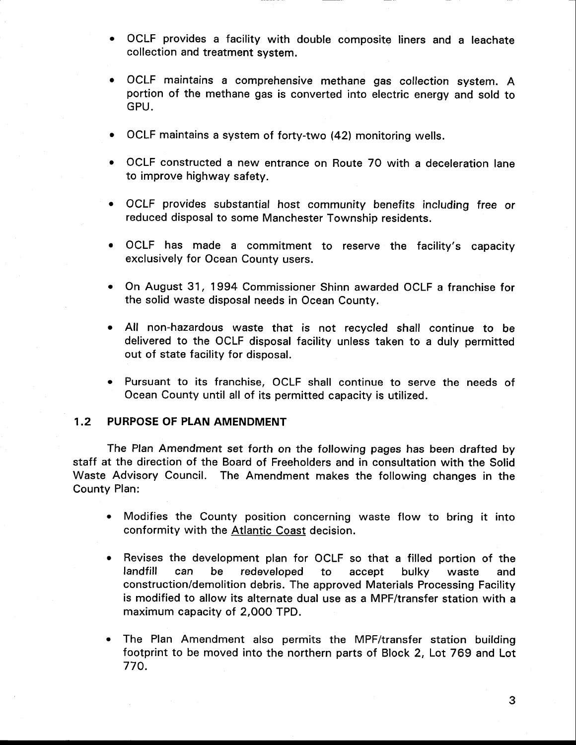- OCLF provides a facility with double composite liners and a leachate collection and treatment system.
- OCLF maintains a comprehensive methane gas collection system. A portion of the methane gas is converted into electric energy and sold to GPU.
- . OCLF maintains a system of forty-two (42) monitoring wells.
- OCLF constructed a new entrance on Route 70 with a deceleration lane to improve highway safety.
- OCLF provides substantial host community benefits including free or reduced disposal to some Manchester Township residents.
- OCLF has made a commitment to reserve the facility's capacity exclusively for Ocean County users.
- On August 31, 1994 Commissioner Shinn awarded OCLF a franchise for the solid waste disposal needs in Ocean County.
- All non-hazardous waste that is not recycled shall continue to be delivered to the OCLF disposal facility unless taken to a duly permitted out of state facility for disposal.
- . Pursuant to its franchise, OCLF shall continue to serve the needs of Ocean County until all of its permitted capacity is utilized.

#### 1.2 PURPOSE OF PLAN AMENDMENT

The Plan Amendment set forth on the following pages has been drafted by staff at the direction of the Board of Freeholders and in consultation with the Solid Waste Advisory Council. The Amendment makes the following changes in the County Plan:

- . Modifies the County position concerning waste flow to bring it into conformity with the Atlantic Coast decision.
- o Revises the development plan for OCLF so that a filled portion of the landfill can be redeveloped to accept bulky waste and construction/demolition debris. The approved Materials Processing Facility is modified to allow its alternate dual use as a MPF/transfer station with <sup>a</sup> maximum capacity of 2,000 TPD.
- The Plan Amendment also permits the MPF/transfer station building footprint to be moved into the northern parts of Block 2, Lot 769 and Lot 770.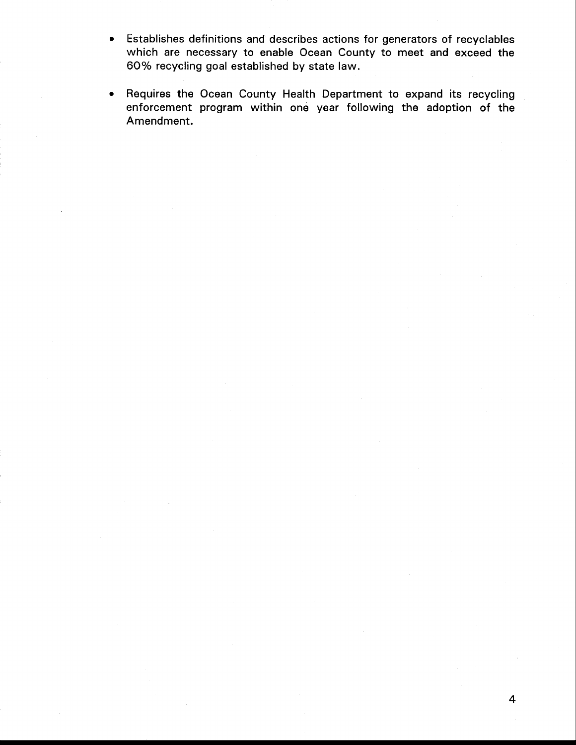- Establishes definitions and describes actions for generators of recyclables  $\bullet$ which are necessary to enable Ocean County to meet and exceed the 60% recycling goal established by state law.
- Requires the Ocean County Health Department to expand its recycling  $\bullet$ enforcement program within one year following the adoption of the Amendment.

4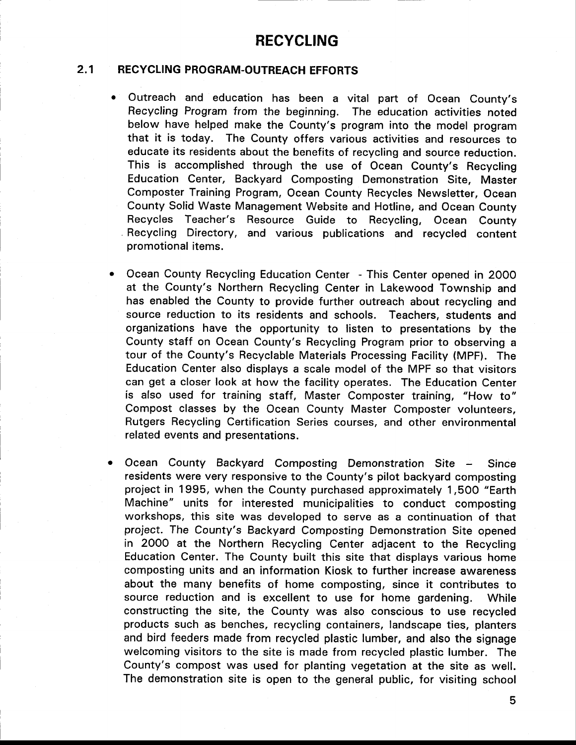## RECYCLING

#### 2.1 RECYCLING PROGRAM.OUTREACH EFFORTS

- $\bullet$ outreach and education has been a vital part of ocean county's Recycling Program from the beginning. The education activities noted below have helped make the county's program into the model program that it is today. The County offers various activities and resources to educate its residents about the benefits of recycling and source reduction. This is accomplished through the use of ocean county's Recycling Education center, Backyard Composting Demonstration Site, Master Composter Training Program, ocean County Recycles Newsletter, ocean County Solid Waste Management Website and Hotline, and Ocean County Recycles Teacher's Resource Guide to Recycling, Ocean County Recycling Directory, and various publications and recycled content promotional items.
- Ocean County Recycling Education Center This Center opened in 2OOO at the County's Northern Recycling Center in Lakewood Township and has enabled the County to provide further outreach about recycling and source reduction to its residents and schools. Teachers, students and organizations have the opportunity to listen to presentations by the County staff on Ocean County's Recycling Program prior to observing <sup>a</sup> tour of the County's Recyclable Materials Processing Facility (MPF). The Education Center also displays a scale model of the MPF so that visitors can get a closer look at how the facility operates. The Education Center is also used for training staff, Master Composter training, "How to" Compost classes by the Ocean County Master Composter volunteers, Rutgers Recycling Certification Series courses, and other environmental related events and presentations.
- Ocean County Backyard Composting Demonstration Site Since residents were very responsive to the County's pilot backyard composting project in 1995, when the County purchased approximately 1,5OO "Earth Machine" units for interested municipalities to conduct composting workshops, this site was developed to serve as a continuation of that project. The County's Backyard Composting Demonstration Site opened in 2000 at the Northern Recycling Center adjacent to the Recycling Education Center. The County built this site that displays various home composting units and an information Kiosk to further increase awareness about the many benefits of home composting, since it contributes to source reduction and is excellent to use for home gardening. While constructing the site, the County was also conscious to use recycled products such as benches, recycling containers, landscape ties, planters and bird feeders made from recycled plastic lumber, and also the signage welcoming visitors to the site is made from recycled plastic lumber. The County's compost was used for planting vegetation at the site as well. The demonstration site is open to the general public, for visiting school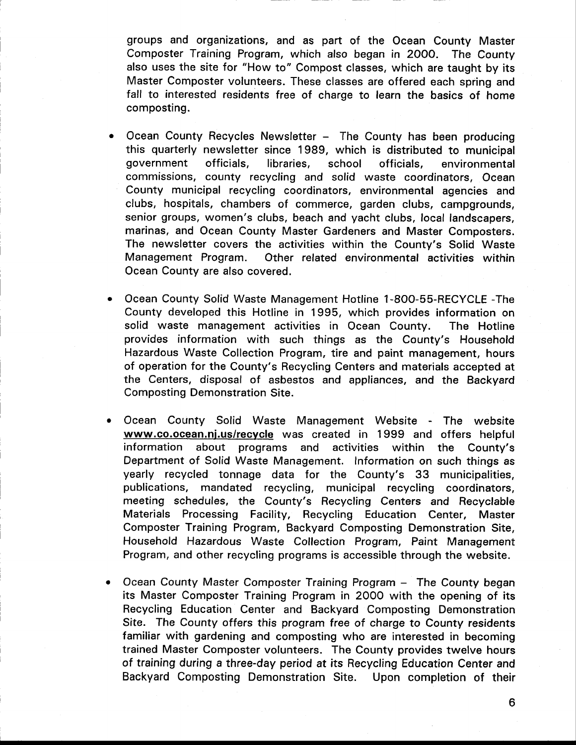groups and organizations, and as part of the Ocean County Master Composter Training Program, which also began in 2000. The County also uses the site for "How to" Compost classes, which are taught by its Master Composter volunteers. These classes are offered each spring and fall to interested residents free of charge to learn the basics of home composting.

- Ocean County Recycles Newsletter The County has been producing this quarterly newsletter since 1989, which is distributed to municipal government off icials, libraries, school officials, environmental commissions, county recycling and solid waste coordinators, Ocean County municipal recycling coordinators, environmental agencies and clubs, hospitals, chambers of commerce, garden clubs, campgrounds, senior groups, women's clubs, beach and yacht clubs, local landscapers, marinas, and Ocean County Master Gardeners and Master Composters. The newsletter covers the activities within the County's Solid Waste Management Program. Other related environmental activities within Ocean County are also covered.
- Ocean County Solid Waste Management Hotline 1-8OO-5S-RECYCLE -The County developed this Hotline in 1995, which provides information on solid waste management activities in Ocean County. The Hotline provides information with such things as the County's Household Hazardous Waste Collection Program, tire and paint management, hours of operation for the County's Recycling Centers and materials accepted at the Centers, disposal of asbestos and appliances, and the Backyard Composting Demonstration Site.
- Ocean County Solid Waste Management Website The website www.co.ocean.nj.us/recycle was created in 1999 and offers helpful information about programs and activities within the County's Department of Solid Waste Management. Information on such things as yearly recycled tonnage data for the County's 33 municipalities, publications, mandated recycling, municipal recycling coordinators, meeting schedules, the County's Recycling Centers and Recyclable Materials Processing Facility, Recycling Education Center, Master Composter Training Program, Backyard Composting Demonstration Site, Household Hazardous Waste Collection Program, Paint Management Program, and other recycling programs is accessible through the website.
- Ocean County Master Composter Training Program The County began its Master Composter Training Program in 2O0O with the opening of its Recycling Education Center and Backyard Composting Demonstration Site. The County offers this program free of charge to County residents familiar with gardening and composting who are interested in becoming trained Master Composter volunteers. The County provides twelve hours of training during a three-day period at its Recycling Education Center and Backyard Composting Demonstration Site. Upon completion of their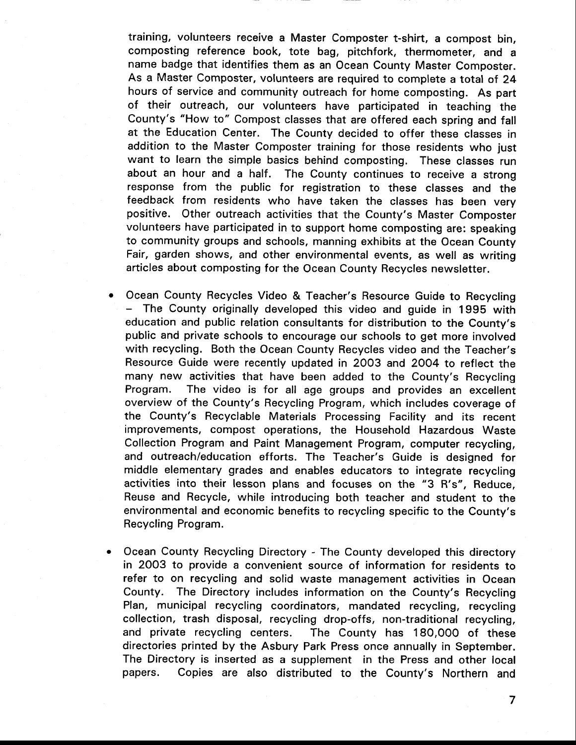training, volunteers receive a Master composter t-shirt, a compost bin, composting reference book, tote bag, pitchfork, thermometer, and <sup>a</sup> name badge that identifies them as an Ocean County Master Composter. As a Master Composter, volunteers are required to complete a total of 24 hours of service and community outreach for home composting. As part of their outreach, our volunteers have participated in teaching the County's "How to" Compost classes that are offered each spring and fall at the Education Center. The County decided to offer these classes in addition to the Master Composter training for those residents who just want to learn the simple basics behind composting. These classes run about an hour and a half. The County continues to receive a strong response from the public for registration to these classes and the feedback from residents who have taken the classes has been very positive. Other outreach activities that the County's Master Composter volunteers have participated in to support home composting are: speaking to community groups and schools, manning exhibits at the Ocean County Fair, garden shows, and other environmental events, as well as writing articles about composting for the ocean County Recycles newsletter.

- Ocean County Recycles Video & Teacher's Resource Guide to Recycling - The County originally developed this video and guide in 1995 with education and public relation consultants for distribution to the County's public and private schools to encourage our schools to get more involved with recycling. Both the Ocean County Recycles video and the Teacher's Resource Guide were recently updated in 2003 and 2OO4 to reflect the many new activities that have been added to the County's Recycling Program. The video is for all age groups and provides an excellent overview of the County's Recycling Program, which includes coverage of the County's Recyclable Materials Processing Facility and its recent improvements, compost operations, the Household Hazardous Waste Collection Program and Paint Management Program, computer recycling, and outreach/education efforts. The Teacher's Guide is designed for middle elementary grades and enables educators to integrate recycling activities into their lesson plans and focuses on the "3 R's", Reduce, Reuse and Recycle, while introducing both teacher and student to the environmental and economic benefits to recycling specific to the County's Recycling Program.
- Ocean County Recycling Directory The County developed this directory in 2OO3 to provide a convenient source of information for residents to refer to on recycling and solid waste management activities in Ocean County. The Directory includes information on the County's Recycling Plan, municipal recycling coordinators, mandated recycling, recycling collection, trash disposal, recycling drop-offs, non-traditional recycling, and private recycling centers. The County has 180,000 of these directories printed by the Asbury Park Press once annually in September. The Directory is inserted as a supplement in the Press and other local papers. Copies are also distributed to the County's Northern and

 $\overline{7}$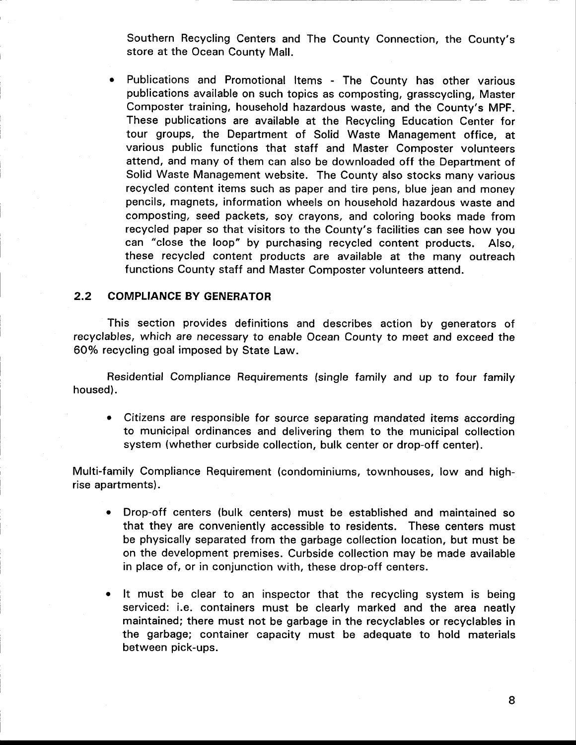Southern Recycling Centers and The County Connection, the County's store at the Ocean County Mall.

Publications and Promotional Items - The County has other various publications available on such topics as composting, grasscycling, Master Composter training, household hazardous waste, and the County's MPF. These publications are available at the Recycling Education Center for tour groups, the Department of Solid Waste Management office, at various public functions that staff and Master Composter volunteers attend, and many of them can also be downloaded off the Department of Solid Waste Management website. The County also stocks many various recycled content items such as paper and tire pens, blue jean and money pencils, magnets, information wheels on household hazardous waste and composting, seed packets, soy crayons, and coloring books made from recycled paper so that visitors to the County's facilities can see how you can "close the loop" by purchasing recycled content products. Also, these recycled content products are available at the many outreach functions County staff and Master Composter volunteers attend.

#### 2.2 COMPLIANCE BY GENERATOR

This section provides definitions and describes action by generators of recyclables, which are necessary to enable Ocean County to meet and exceed the 60% recycling goal imposed by State Law.

Residential Compliance Requirements (single family and up to four family housed).

• Citizens are responsible for source separating mandated items according to municipal ordinances and delivering them to the municipal collection system (whether curbside collection, bulk center or drop-off center).

Multi-family Compliance Requirement (condominiums, townhouses, low and highrise apartments).

- o Drop-off centers (bulk centers) must be established and maintained so that they are conveniently accessible to residents. These centers must be physically separated from the garbage collection location, but must be on the development premises. Curbside collection may be made available in place of, or in conjunction with, these drop-off centers.
- It must be clear to an inspector that the recycling system is being serviced: i.e. containers must be clearly marked and the area neatly maintained; there must not be garbage in the recyclables or recyclables in the garbage; container capacity must be adequate to hold materials between pick-ups.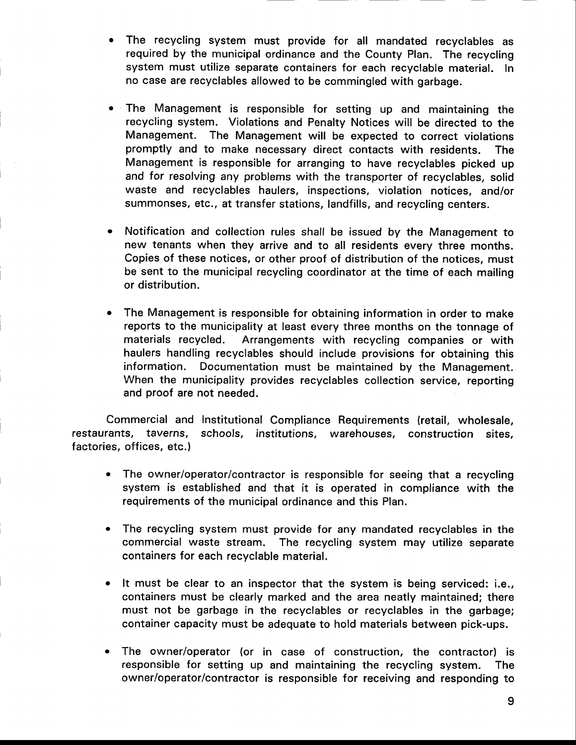- The recycling system must provide for all mandated recyclables as required by the municipal ordinance and the County Plan. The recycling system must utilize separate containers for each recyclable material. In no case are recyclables allowed to be commingled with garbage.
- The Management is responsible for setting up and maintaining the recycling system. Violations and Penalty Notices will be directed to the Management. The Management will be expected to correct violations promptly and to make necessary direct contacts with residents. The Management is responsible for arranging to have recyclables picked up and for resolving any problems with the transporter of recyclables, solid waste and recyclables haulers, inspections, violation notices. and/or summonses, etc., at transfer stations, landfills, and recycling centers.
- Notification and collection rules shall be issued by the Management to new tenants when they arrive and to all residents every three months. Copies of these notices, or other proof of distribution of the notices, must be sent to the municipal recycling coordinator at the time of each mailing or distribution.
- The Management is responsible for obtaining information in order to make reports to the municipality at least every three months on the tonnage of materials recycled. Arrangements with recycling companies or with haulers handling recyclables should include provisions for obtaining this information. Documentation must be maintained by the Management. When the municipality provides recyclables collection service, reporting and proof are not needed.

Commercial and Institutional Compliance Requirements (retail, wholesale, restaurants, taverns, schools, institutions, warehouses, construction sites, factories, offices, etc.)

- The owner/operator/contractor is responsible for seeing that a recycling system is established and that it is operated in compliance with the requirements of the municipal ordinance and this Plan.
- The recycling system must provide for any mandated recyclables in the commercial waste stream. The recycling system may utilize separate containers for each recyclable material.
- It must be clear to an inspector that the system is being serviced: i.e., containers must be clearly marked and the area neatly maintained; there must not be garbage in the recyclables or recyclables in the garbage; container capacity must be adequate to hold materials between pick-ups.
- . The owner/operator (or in case of construction, the contractor) is responsible for setting up and maintaining the recycling system. The owner/operator/contractor is responsible for receiving and responding to

9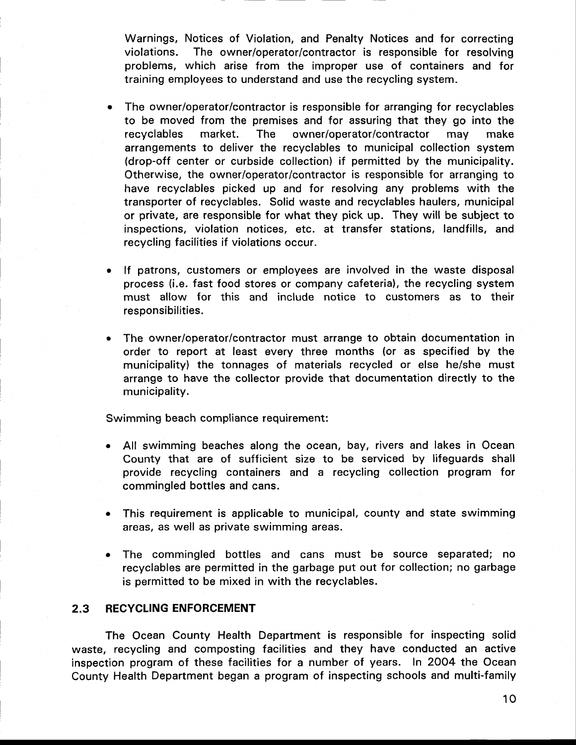Warnings, Notices of Violation, and Penalty Notices and for correcting violations. The owner/operator/contractor is responsible for resolving problems, which arise from the improper use of containers and for training employees to understand and use the recycling system.

- The owner/operator/contractor is responsible for arranging for recyclables to be moved from the premises and for assuring that they go into the recyclables market. The owner/operator/contractor may make arrangements to deliver the recyclables to municipal collection system (drop-off center or curbside collection) if permitted by the municipality. Otherwise, the owner/operator/contractor is responsible for arranging to have recyclables picked up and for resolving any problems with the transporter of recyclables. Solid waste and recyclables haulers, municipal or private, are responsible for what they pick up. They wilt be subject to inspections, violation notices, etc. at transfer stations, landfills, and recycling facilities if violations occur.
- If patrons, customers or employees are involved in the waste disposal process (i.e. fast food stores or company cafeteria), the recycling system must allow for this and include notice to customers as to their responsibilities.
- The owner/operator/contractor must arrange to obtain documentation in order to report at least every three months (or as specified by the municipality) the tonnages of materials recycled or else he/she must arrange to have the collector provide that documentation directly to the municipality.

Swimming beach compliance requirement:

- All swimming beaches along the ocean, bay, rivers and lakes in Ocean County that are of sufficient size to be serviced by lifeguards shall provide recycling containers and a recycling collection program for commingled bottles and cans.
- This requirement is applicable to municipal, county and state swimming areas, as well as private swimming areas.
- The commingled bottles and cans must be source separated; no recyclables are permitted in the garbage put out for collection; no garbage is permitted to be mixed in with the recyclables.

#### 2.3 RECYCLING ENFORCEMENT

The Ocean County Health Department is responsible for inspecting solid waste, recycling and composting facilities and they have conducted an active inspection program of these facilities for a number of years. In 2004 the Ocean County Health Department began a program of inspecting schools and multi-family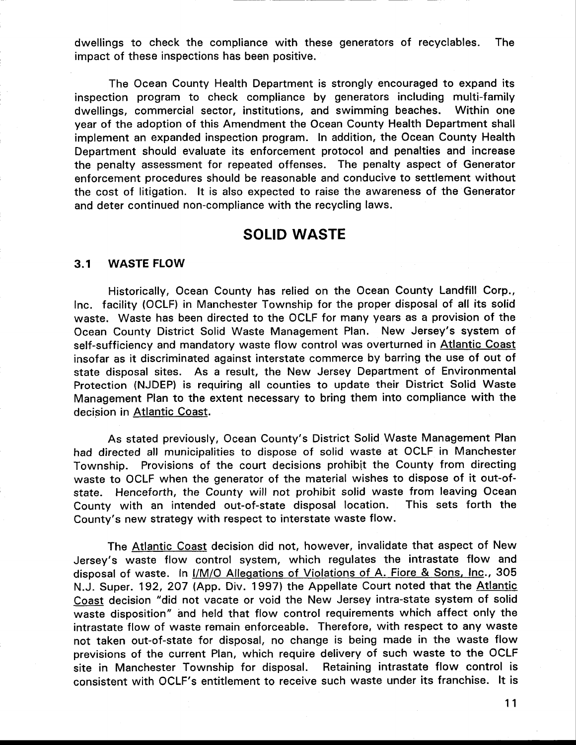dwellings to check the compliance with these generators of recyclables. The impact of these inspections has been positive.

The Ocean County Health Department is strongly encouraged to expand its inspection program to check compliance by generators including multi-family dwellings, commercial sector, institutions, and swimming beaches. Within one year of the adoption of this Amendment the Ocean County Health Department shall implement an expanded inspection program. ln addition, the Ocean County Health Department should evaluate its enforcement protocol and penalties and increase the penalty assessment for repeated offenses. The penalty aspect of Generator enforcement procedures should be reasonable and conducive to settlement without the cost of litigation. lt is also expected to raise the awareness of the Generator and deter continued non-compliance with the recycling laws.

## SOLID WASTE

#### 3.1 WASTE FLOW

Historically, Ocean County has relied on the Ocean County Landfill Corp., lnc. facility (OCLF) in Manchester Township for the proper disposal of all its solid waste. Waste has been directed to the OCLF for many years as a provision of the Ocean County District Solid Waste Management Plan. New Jersey's system of self-sufficiency and mandatory waste flow control was overturned in Atlantic Coast insofar as it discriminated against interstate commerce by barring the use of out of state disposal sites. As a result, the New Jersey Department of Environmental Protection (NJDEP) is requiring all counties to update their District Solid Waste Management Plan to the extent necessary to bring them into compliance with the decision in Atlantic Coast.

As stated previously, Ocean County's District Solid Waste Management Plan had directed all municipalities to dispose of solid waste at OCLF in Manchester Township. Provisions of the court decisions prohibit the County from directing waste to OCLF when the generator of the material wishes to dispose of it out-ofstate. Henceforth, the County will not prohibit solid waste from leaving Ocean<br>County with an intended out-of-state disposal location. This sets forth the County with an intended out-of-state disposal location. County's new strategy with respect to interstate waste flow.

The Atlantic Coast decision did not, however, invalidate that aspect of New Jersey's waste flow control system, which regulates the intrastate flow and disposal of waste. In I/M/O Allegations of Violations of A. Fiore & Sons, Inc., 305 N.J. Super. 192, 207 (App. Div. 1997) the Appellate Court noted that the Atlantig Coast decision "did not vacate or void the New Jersey intra-state system of solid waste disposition" and held that flow control requirements which affect only the intrastate flow of waste remain enforceable. Therefore, with respect to any waste not taken out-of-state for disposal, no change is being made in the waste flow previsions of the current Plan, which require delivery of such waste to the OCLF site in Manchester Township for disposal. Retaining intrastate flow control is consistent with OCLF's entitlement to receive such waste under its franchise. lt is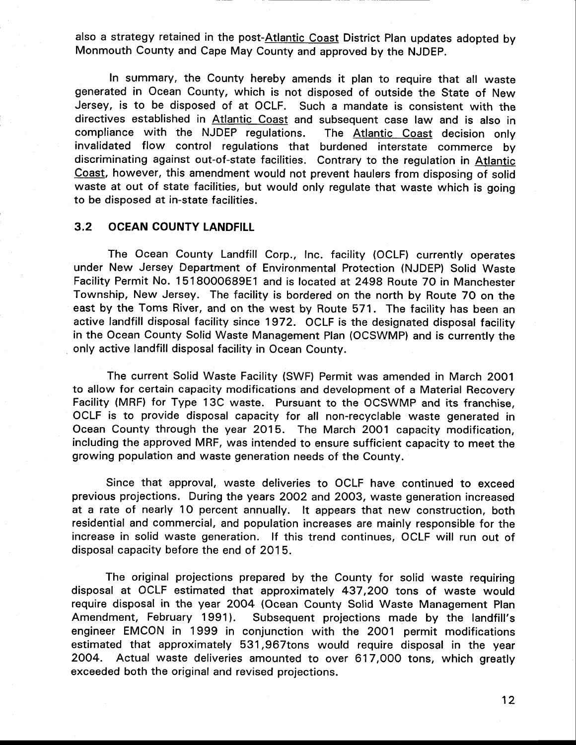also a strategy retained in the post-Atlantic Coast District Plan updates adopted by Monmouth County and Cape May County and approved by the NJDEP.

ln summary, the County hereby amends it plan to require that all waste generated in Ocean County, which is not disposed of outside the State of New Jersey, is to be disposed of at OCLF. Such a mandate is consistent with the directives established in Atlantic Coast and subsequent case law and is also in compliance with the NJDEP regulations. The Atlantic Qoast decision only invalidated flow control regulations that burdened interstate commerce by discriminating against out-of-state facilities. Contrary to the regulation in Atlantic Coast, however, this amendment would not prevent haulers from disposing of solid waste at out of state facilities, but would only regulate that waste which is going to be disposed at in-state facilities.

#### 3,2 OCEAN COUNTY LANDFILL

The Ocean County Landfill Corp., lnc. facility (OCLF) currently operates under New Jersey Department of Environmental Protection (NJDEP) Solid Waste Facility Permit No. 1518000689E1 and is located at2498 Route 70 in Manchester Township, New Jersey. The facility is bordered on the north by Route 70 on the east by the Toms River, and on the west by Route 571. The facility has been an active landfill disposal facility since 1972. OCLF is the designated disposal facility in the Ocean County Solid Waste Management Plan (OCSWMP) and is currently the only active landfill disposal facility in Ocean County.

The current Solid Waste Facility (SWF) Permit was amended in March 2001 to allow for certain capacity modifications and development of a Material Recovery Facility (MRF) for Type 13C waste. Pursuant to the OCSWMP and its franchise, OCLF is to provide disposal capacity for all non-recyclable waste generated in Ocean County through the year 2O15. The March 2001 capacity modification, including the approved MRF, was intended to ensure sufficient capacity to meet the growing population and waste generation needs of the County.

Since that approval, waste deliveries to OCLF have continued to exceed previous projections. During the years 2OO2 and 2003, waste generation increased at a rate of nearly 1O percent annually. lt appears that new construction, both residential and commercial, and population increases are mainly responsible for the increase in solid waste generation. lf this trend continues, OCLF will run out of disposal capacity before the end of 2015.

The original projections prepared by the County for solid waste requiring disposal at OCLF estimated that approximately 437,2OO tons of waste would require disposal in the year 20O4 (Ocean County Solid Waste Management Plan Amendment, February 1991). Subsequent projections made by the landfill's engineer EMCON in 1999 in conjunction with the 2OO1 permit modifications estimated that approximately 531,967tons would require disposal in the year 2OO4. Actual waste deliveries amounted to over 617,000 tons, which greatly exceeded both the original and revised projections.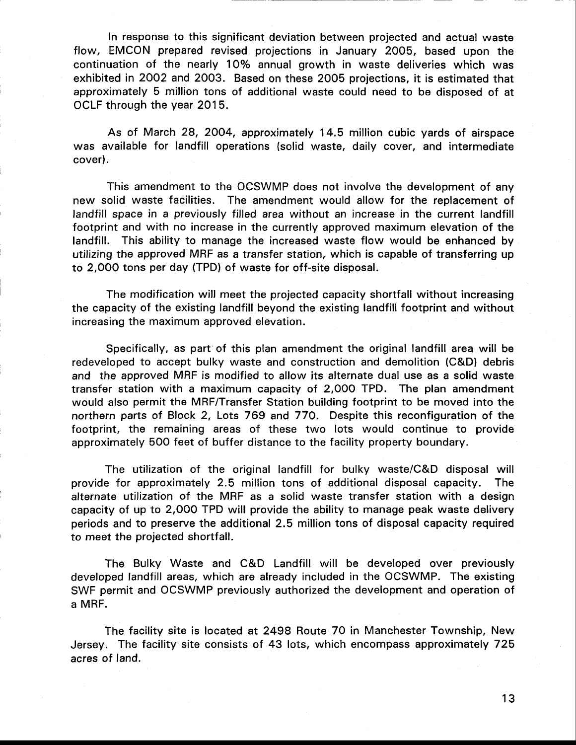In response to this significant deviation between projected and actual waste flow, EMCON prepared revised projections in January 2005, based upon the continuation of the nearly 10% annual growth in waste deliveries which was exhibited in 2QO2 and 2003. Based on these 2005 projections, it is estimated that approximately 5 million tons of additional waste could need to be disposed of at OCLF through the year 2015.

As of March 28,2004, approximately 14.5 million cubic yards of airspace was available for landfill operations (solid waste, daily cover, and intermediate cover).

This amendment to the OCSWMP does not involve the development of any new solid waste facilities. The amendment would allow for the replacement of landfill space in a previously filled area without an increase in the current landfill footprint and with no increase in the currently approved maximum elevation of the landfill. This ability to manage the increased waste flow would be enhanced by utilizing the approved MRF as a transfer station, which is capable of transferring up to 2,OOO tons per day (TPD) of waste for off-site disposal.

The modification will meet the projected capacity shortfall without increasing the capacity of the existing landfill beyond the existing landfill footprint and without increasing the maximum approved elevation.

Specifically, as part of this plan amendment the original landfill area will be redeveloped to accept bulky waste and construction and demolition (C&D) debris and the approved MRF is modified to allow its alternate dual use as a solid waste transfer station with a maximum capacity of 2,OOO TPD. The plan amendment would also permit the MRF/Transfer Station building footprint to be moved into the northern parts of Block 2, Lots 769 and 77O. Despite this reconfiguration of the footprint, the remaining areas of these two lots would continue to provide approximately 500 feet of buffer distance to the facility property boundary.

The utilization of the original landfill for bulky waste/C&D disposal will provide for approximately 2.5 million tons of additional disposal capacity. The alternate utilization of the MRF as a solid waste transfer station with a design capacity of up to 2,000 TPD will provide the ability to manage peak waste delivery periods and to preserve the additional 2.5 million tons of disposal capacity required to meet the projected shortfall.

The Bulky Waste and C&D Landfill will be developed over previously developed landfill areas, which are already included in the OCSWMP. The existing SWF permit and OCSWMP previously authorized the development and operation of a MRF.

The facility site is located at 2498 Route 70 in Manchester Township, New Jersey. The facility site consists of 43 lots, which encompass approximately 725 acres of land.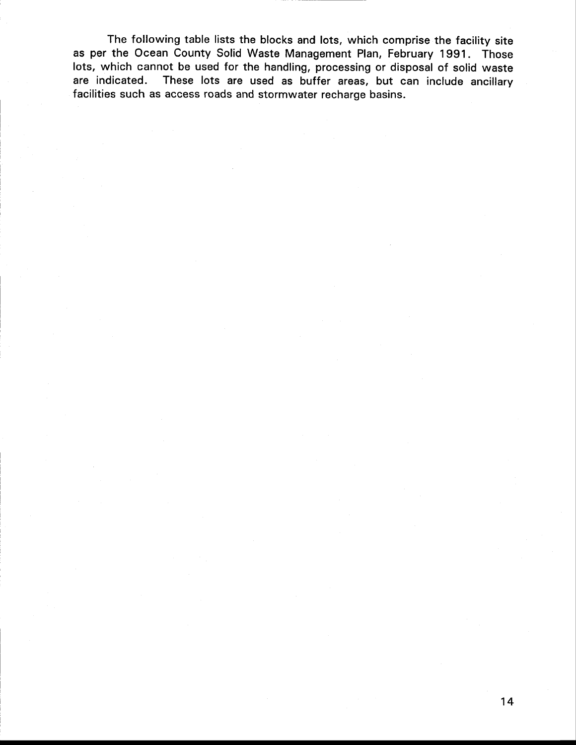The following table lists the blocks and lots, which comprise the facility site as per the Ocean County Solid Waste Management Plan, February 1991. Those lots, which cannot be used for the handling, processing or disposal of solid waste are indicated. These lots are used as buffer areas, but can include ancillary facilities such as access roads and stormwater recharge basins.